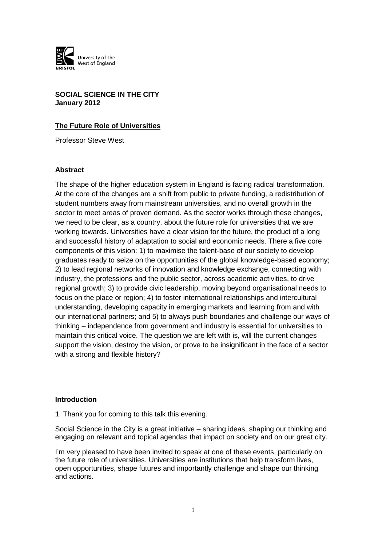

**SOCIAL SCIENCE IN THE CITY January 2012**

### **The Future Role of Universities**

Professor Steve West

#### **Abstract**

The shape of the higher education system in England is facing radical transformation. At the core of the changes are a shift from public to private funding, a redistribution of student numbers away from mainstream universities, and no overall growth in the sector to meet areas of proven demand. As the sector works through these changes, we need to be clear, as a country, about the future role for universities that we are working towards. Universities have a clear vision for the future, the product of a long and successful history of adaptation to social and economic needs. There a five core components of this vision: 1) to maximise the talent-base of our society to develop graduates ready to seize on the opportunities of the global knowledge-based economy; 2) to lead regional networks of innovation and knowledge exchange, connecting with industry, the professions and the public sector, across academic activities, to drive regional growth; 3) to provide civic leadership, moving beyond organisational needs to focus on the place or region; 4) to foster international relationships and intercultural understanding, developing capacity in emerging markets and learning from and with our international partners; and 5) to always push boundaries and challenge our ways of thinking – independence from government and industry is essential for universities to maintain this critical voice. The question we are left with is, will the current changes support the vision, destroy the vision, or prove to be insignificant in the face of a sector with a strong and flexible history?

#### **Introduction**

**1**. Thank you for coming to this talk this evening.

Social Science in the City is a great initiative – sharing ideas, shaping our thinking and engaging on relevant and topical agendas that impact on society and on our great city.

I'm very pleased to have been invited to speak at one of these events, particularly on the future role of universities. Universities are institutions that help transform lives, open opportunities, shape futures and importantly challenge and shape our thinking and actions.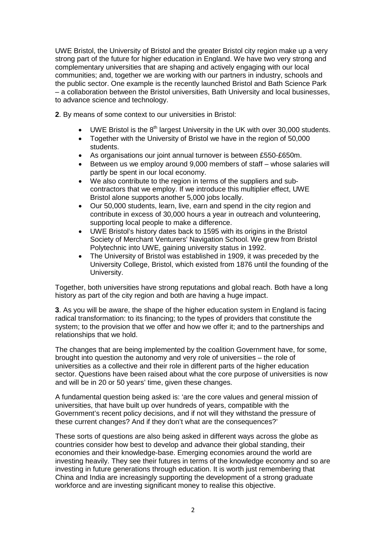UWE Bristol, the University of Bristol and the greater Bristol city region make up a very strong part of the future for higher education in England. We have two very strong and complementary universities that are shaping and actively engaging with our local communities; and, together we are working with our partners in industry, schools and the public sector. One example is the recently launched Bristol and Bath Science Park – a collaboration between the Bristol universities, Bath University and local businesses, to advance science and technology.

**2**. By means of some context to our universities in Bristol:

- UWE Bristol is the  $8<sup>th</sup>$  largest University in the UK with over 30,000 students.
- Together with the University of Bristol we have in the region of 50,000 students.
- As organisations our joint annual turnover is between £550-£650m.
- Between us we employ around 9,000 members of staff whose salaries will partly be spent in our local economy.
- We also contribute to the region in terms of the suppliers and subcontractors that we employ. If we introduce this multiplier effect, UWE Bristol alone supports another 5,000 jobs locally.
- Our 50,000 students, learn, live, earn and spend in the city region and contribute in excess of 30,000 hours a year in outreach and volunteering, supporting local people to make a difference.
- UWE Bristol's history dates back to 1595 with its origins in the Bristol Society of Merchant Venturers' Navigation School. We grew from Bristol Polytechnic into UWE, gaining university status in 1992.
- The University of Bristol was established in 1909, it was preceded by the University College, Bristol, which existed from 1876 until the founding of the University.

Together, both universities have strong reputations and global reach. Both have a long history as part of the city region and both are having a huge impact.

**3**. As you will be aware, the shape of the higher education system in England is facing radical transformation: to its financing; to the types of providers that constitute the system; to the provision that we offer and how we offer it; and to the partnerships and relationships that we hold.

The changes that are being implemented by the coalition Government have, for some, brought into question the autonomy and very role of universities – the role of universities as a collective and their role in different parts of the higher education sector. Questions have been raised about what the core purpose of universities is now and will be in 20 or 50 years' time, given these changes.

A fundamental question being asked is: 'are the core values and general mission of universities, that have built up over hundreds of years, compatible with the Government's recent policy decisions, and if not will they withstand the pressure of these current changes? And if they don't what are the consequences?'

These sorts of questions are also being asked in different ways across the globe as countries consider how best to develop and advance their global standing, their economies and their knowledge-base. Emerging economies around the world are investing heavily. They see their futures in terms of the knowledge economy and so are investing in future generations through education. It is worth just remembering that China and India are increasingly supporting the development of a strong graduate workforce and are investing significant money to realise this objective.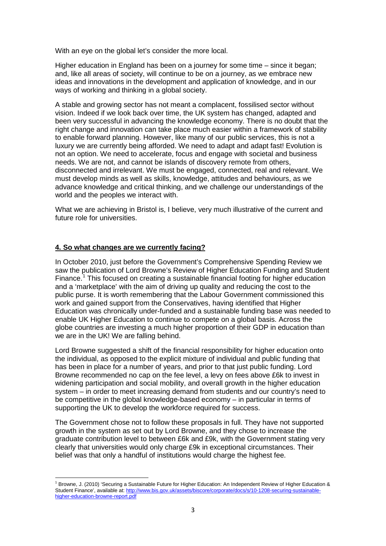With an eye on the global let's consider the more local.

Higher education in England has been on a journey for some time – since it began; and, like all areas of society, will continue to be on a journey, as we embrace new ideas and innovations in the development and application of knowledge, and in our ways of working and thinking in a global society.

A stable and growing sector has not meant a complacent, fossilised sector without vision. Indeed if we look back over time, the UK system has changed, adapted and been very successful in advancing the knowledge economy. There is no doubt that the right change and innovation can take place much easier within a framework of stability to enable forward planning. However, like many of our public services, this is not a luxury we are currently being afforded. We need to adapt and adapt fast! Evolution is not an option. We need to accelerate, focus and engage with societal and business needs. We are not, and cannot be islands of discovery remote from others, disconnected and irrelevant. We must be engaged, connected, real and relevant. We must develop minds as well as skills, knowledge, attitudes and behaviours, as we advance knowledge and critical thinking, and we challenge our understandings of the world and the peoples we interact with.

What we are achieving in Bristol is, I believe, very much illustrative of the current and future role for universities.

# **4. So what changes are we currently facing?**

In October 2010, just before the Government's Comprehensive Spending Review we saw the publication of Lord Browne's Review of Higher Education Funding and Student Finance.<sup>[1](#page-2-0)</sup> This focused on creating a sustainable financial footing for higher education and a 'marketplace' with the aim of driving up quality and reducing the cost to the public purse. It is worth remembering that the Labour Government commissioned this work and gained support from the Conservatives, having identified that Higher Education was chronically under-funded and a sustainable funding base was needed to enable UK Higher Education to continue to compete on a global basis. Across the globe countries are investing a much higher proportion of their GDP in education than we are in the UK! We are falling behind.

Lord Browne suggested a shift of the financial responsibility for higher education onto the individual, as opposed to the explicit mixture of individual and public funding that has been in place for a number of years, and prior to that just public funding. Lord Browne recommended no cap on the fee level, a levy on fees above £6k to invest in widening participation and social mobility, and overall growth in the higher education system – in order to meet increasing demand from students and our country's need to be competitive in the global knowledge-based economy – in particular in terms of supporting the UK to develop the workforce required for success.

The Government chose not to follow these proposals in full. They have not supported growth in the system as set out by Lord Browne, and they chose to increase the graduate contribution level to between £6k and £9k, with the Government stating very clearly that universities would only charge £9k in exceptional circumstances. Their belief was that only a handful of institutions would charge the highest fee.

<span id="page-2-0"></span> $\overline{a}$ <sup>1</sup> Browne, J. (2010) 'Securing a Sustainable Future for Higher Education: An Independent Review of Higher Education & Student Finance', available at[: http://www.bis.gov.uk/assets/biscore/corporate/docs/s/10-1208-securing-sustainable](http://www.bis.gov.uk/assets/biscore/corporate/docs/s/10-1208-securing-sustainable-higher-education-browne-report.pdf)[higher-education-browne-report.pdf](http://www.bis.gov.uk/assets/biscore/corporate/docs/s/10-1208-securing-sustainable-higher-education-browne-report.pdf)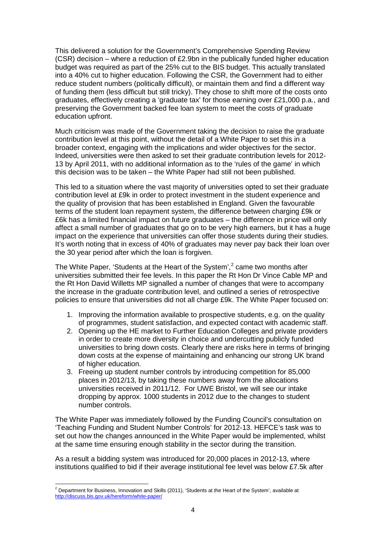This delivered a solution for the Government's Comprehensive Spending Review (CSR) decision – where a reduction of £2.9bn in the publically funded higher education budget was required as part of the 25% cut to the BIS budget. This actually translated into a 40% cut to higher education. Following the CSR, the Government had to either reduce student numbers (politically difficult), or maintain them and find a different way of funding them (less difficult but still tricky). They chose to shift more of the costs onto graduates, effectively creating a 'graduate tax' for those earning over £21,000 p.a., and preserving the Government backed fee loan system to meet the costs of graduate education upfront.

Much criticism was made of the Government taking the decision to raise the graduate contribution level at this point, without the detail of a White Paper to set this in a broader context, engaging with the implications and wider objectives for the sector. Indeed, universities were then asked to set their graduate contribution levels for 2012- 13 by April 2011, with no additional information as to the 'rules of the game' in which this decision was to be taken – the White Paper had still not been published.

This led to a situation where the vast majority of universities opted to set their graduate contribution level at £9k in order to protect investment in the student experience and the quality of provision that has been established in England. Given the favourable terms of the student loan repayment system, the difference between charging £9k or £6k has a limited financial impact on future graduates – the difference in price will only affect a small number of graduates that go on to be very high earners, but it has a huge impact on the experience that universities can offer those students during their studies. It's worth noting that in excess of 40% of graduates may never pay back their loan over the 30 year period after which the loan is forgiven.

The White Paper, 'Students at the Heart of the System', $<sup>2</sup>$  $<sup>2</sup>$  $<sup>2</sup>$  came two months after</sup> universities submitted their fee levels. In this paper the Rt Hon Dr Vince Cable MP and the Rt Hon David Willetts MP signalled a number of changes that were to accompany the increase in the graduate contribution level, and outlined a series of retrospective policies to ensure that universities did not all charge £9k. The White Paper focused on:

- 1. Improving the information available to prospective students, e.g. on the quality of programmes, student satisfaction, and expected contact with academic staff.
- 2. Opening up the HE market to Further Education Colleges and private providers in order to create more diversity in choice and undercutting publicly funded universities to bring down costs. Clearly there are risks here in terms of bringing down costs at the expense of maintaining and enhancing our strong UK brand of higher education.
- 3. Freeing up student number controls by introducing competition for 85,000 places in 2012/13, by taking these numbers away from the allocations universities received in 2011/12. For UWE Bristol, we will see our intake dropping by approx. 1000 students in 2012 due to the changes to student number controls.

The White Paper was immediately followed by the Funding Council's consultation on 'Teaching Funding and Student Number Controls' for 2012-13. HEFCE's task was to set out how the changes announced in the White Paper would be implemented, whilst at the same time ensuring enough stability in the sector during the transition.

As a result a bidding system was introduced for 20,000 places in 2012-13, where institutions qualified to bid if their average institutional fee level was below £7.5k after

<span id="page-3-0"></span>**<sup>.</sup>**  $^2$  Department for Business, Innovation and Skills (2011), 'Students at the Heart of the System', available at <http://discuss.bis.gov.uk/hereform/white-paper/>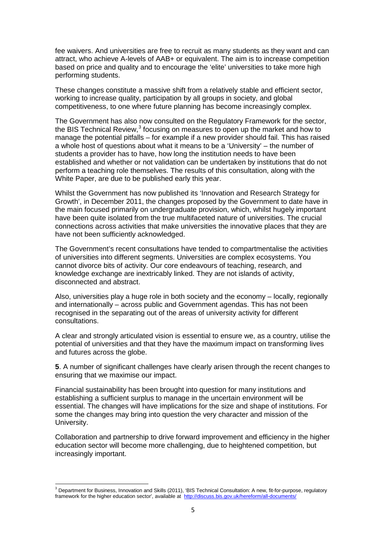fee waivers. And universities are free to recruit as many students as they want and can attract, who achieve A-levels of AAB+ or equivalent. The aim is to increase competition based on price and quality and to encourage the 'elite' universities to take more high performing students.

These changes constitute a massive shift from a relatively stable and efficient sector, working to increase quality, participation by all groups in society, and global competitiveness, to one where future planning has become increasingly complex.

The Government has also now consulted on the Regulatory Framework for the sector, the BIS Technical Review,<sup>[3](#page-4-0)</sup> focusing on measures to open up the market and how to manage the potential pitfalls – for example if a new provider should fail. This has raised a whole host of questions about what it means to be a 'University' – the number of students a provider has to have, how long the institution needs to have been established and whether or not validation can be undertaken by institutions that do not perform a teaching role themselves. The results of this consultation, along with the White Paper, are due to be published early this year.

Whilst the Government has now published its 'Innovation and Research Strategy for Growth', in December 2011, the changes proposed by the Government to date have in the main focused primarily on undergraduate provision, which, whilst hugely important have been quite isolated from the true multifaceted nature of universities. The crucial connections across activities that make universities the innovative places that they are have not been sufficiently acknowledged.

The Government's recent consultations have tended to compartmentalise the activities of universities into different segments. Universities are complex ecosystems. You cannot divorce bits of activity. Our core endeavours of teaching, research, and knowledge exchange are inextricably linked. They are not islands of activity, disconnected and abstract.

Also, universities play a huge role in both society and the economy – locally, regionally and internationally – across public and Government agendas. This has not been recognised in the separating out of the areas of university activity for different consultations.

A clear and strongly articulated vision is essential to ensure we, as a country, utilise the potential of universities and that they have the maximum impact on transforming lives and futures across the globe.

**5**. A number of significant challenges have clearly arisen through the recent changes to ensuring that we maximise our impact.

Financial sustainability has been brought into question for many institutions and establishing a sufficient surplus to manage in the uncertain environment will be essential. The changes will have implications for the size and shape of institutions. For some the changes may bring into question the very character and mission of the University.

Collaboration and partnership to drive forward improvement and efficiency in the higher education sector will become more challenging, due to heightened competition, but increasingly important.

<span id="page-4-0"></span>**<sup>.</sup>**  $3$  Department for Business, Innovation and Skills (2011), 'BIS Technical Consultation: A new, fit-for-purpose, regulatory framework for the higher education sector', available at <http://discuss.bis.gov.uk/hereform/all-documents/>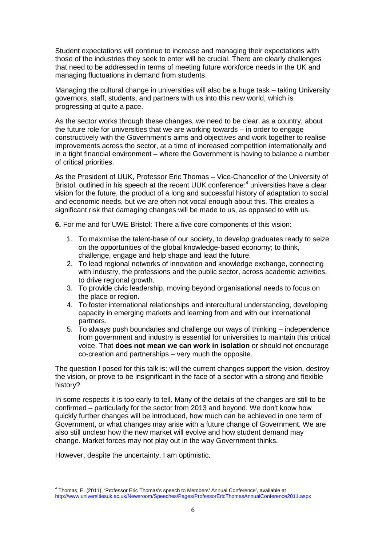Student expectations will continue to increase and managing their expectations with those of the industries they seek to enter will be crucial. There are clearly challenges that need to be addressed in terms of meeting future workforce needs in the UK and managing fluctuations in demand from students.

Managing the cultural change in universities will also be a huge task – taking University governors, staff, students, and partners with us into this new world, which is progressing at quite a pace.

As the sector works through these changes, we need to be clear, as a country, about the future role for universities that we are working towards – in order to engage constructively with the Government's aims and objectives and work together to realise improvements across the sector, at a time of increased competition internationally and in a tight financial environment – where the Government is having to balance a number of critical priorities.

As the President of UUK, Professor Eric Thomas – Vice-Chancellor of the University of Bristol, outlined in his speech at the recent UUK conference:<sup>[4](#page-5-0)</sup> universities have a clear vision for the future, the product of a long and successful history of adaptation to social and economic needs, but we are often not vocal enough about this. This creates a significant risk that damaging changes will be made to us, as opposed to with us.

**6.** For me and for UWE Bristol: There a five core components of this vision:

- 1. To maximise the talent-base of our society, to develop graduates ready to seize on the opportunities of the global knowledge-based economy; to think, challenge, engage and help shape and lead the future.
- 2. To lead regional networks of innovation and knowledge exchange, connecting with industry, the professions and the public sector, across academic activities, to drive regional growth.
- 3. To provide civic leadership, moving beyond organisational needs to focus on the place or region.
- 4. To foster international relationships and intercultural understanding, developing capacity in emerging markets and learning from and with our international partners.
- 5. To always push boundaries and challenge our ways of thinking independence from government and industry is essential for universities to maintain this critical voice. That **does not mean we can work in isolation** or should not encourage co-creation and partnerships – very much the opposite.

The question I posed for this talk is: will the current changes support the vision, destroy the vision, or prove to be insignificant in the face of a sector with a strong and flexible history?

In some respects it is too early to tell. Many of the details of the changes are still to be confirmed – particularly for the sector from 2013 and beyond. We don't know how quickly further changes will be introduced, how much can be achieved in one term of Government, or what changes may arise with a future change of Government. We are also still unclear how the new market will evolve and how student demand may change. Market forces may not play out in the way Government thinks.

However, despite the uncertainty, I am optimistic.

<span id="page-5-0"></span>**<sup>.</sup>** <sup>4</sup> Thomas, E. (2011), 'Professor Eric Thomas's speech to Members' Annual Conference', available at <http://www.universitiesuk.ac.uk/Newsroom/Speeches/Pages/ProfessorEricThomasAnnualConference2011.aspx>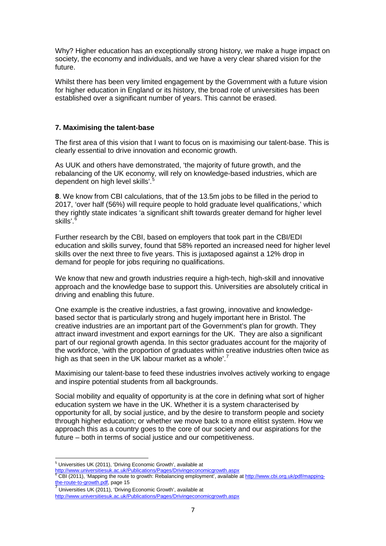Why? Higher education has an exceptionally strong history, we make a huge impact on society, the economy and individuals, and we have a very clear shared vision for the future.

Whilst there has been very limited engagement by the Government with a future vision for higher education in England or its history, the broad role of universities has been established over a significant number of years. This cannot be erased.

### **7. Maximising the talent-base**

The first area of this vision that I want to focus on is maximising our talent-base. This is clearly essential to drive innovation and economic growth.

As UUK and others have demonstrated, 'the majority of future growth, and the rebalancing of the UK economy, will rely on knowledge-based industries, which are dependent on high level skills'. [5](#page-6-0)

**8**. We know from CBI calculations, that of the 13.5m jobs to be filled in the period to 2017, 'over half (56%) will require people to hold graduate level qualifications,' which they rightly state indicates 'a significant shift towards greater demand for higher level skills'. [6](#page-6-1)

Further research by the CBI, based on employers that took part in the CBI/EDI education and skills survey, found that 58% reported an increased need for higher level skills over the next three to five years. This is juxtaposed against a 12% drop in demand for people for jobs requiring no qualifications.

We know that new and growth industries require a high-tech, high-skill and innovative approach and the knowledge base to support this. Universities are absolutely critical in driving and enabling this future.

One example is the creative industries, a fast growing, innovative and knowledgebased sector that is particularly strong and hugely important here in Bristol. The creative industries are an important part of the Government's plan for growth. They attract inward investment and export earnings for the UK. They are also a significant part of our regional growth agenda. In this sector graduates account for the majority of the workforce, 'with the proportion of graduates within creative industries often twice as high as that seen in the UK labour market as a whole'.<sup>[7](#page-6-2)</sup>

Maximising our talent-base to feed these industries involves actively working to engage and inspire potential students from all backgrounds.

Social mobility and equality of opportunity is at the core in defining what sort of higher education system we have in the UK. Whether it is a system characterised by opportunity for all, by social justice, and by the desire to transform people and society through higher education; or whether we move back to a more elitist system. How we approach this as a country goes to the core of our society and our aspirations for the future – both in terms of social justice and our competitiveness.

**<sup>.</sup>** <sup>5</sup> Universities UK (2011), 'Driving Economic Growth', available at

<span id="page-6-1"></span><span id="page-6-0"></span><http://www.universitiesuk.ac.uk/Publications/Pages/Drivingeconomicgrowth.aspx>

<sup>&</sup>lt;sup>6</sup> CBI (2011), 'Mapping the route to growth: Rebalancing employment', available at <u>http://www.cbi.org.uk/pdf/mapping-</u><br><u>the-route-to-growth.pdf,</u> page 15

Universities UK (2011), 'Driving Economic Growth', available at

<span id="page-6-2"></span><http://www.universitiesuk.ac.uk/Publications/Pages/Drivingeconomicgrowth.aspx>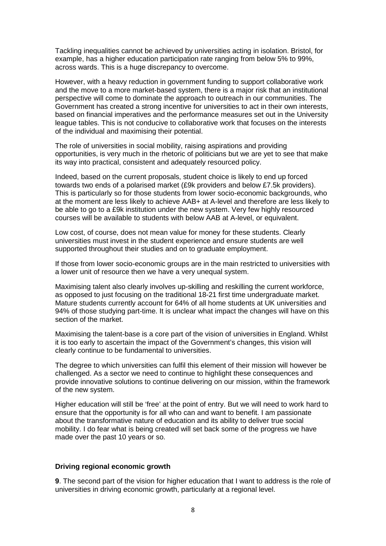Tackling inequalities cannot be achieved by universities acting in isolation. Bristol, for example, has a higher education participation rate ranging from below 5% to 99%, across wards. This is a huge discrepancy to overcome.

However, with a heavy reduction in government funding to support collaborative work and the move to a more market-based system, there is a major risk that an institutional perspective will come to dominate the approach to outreach in our communities. The Government has created a strong incentive for universities to act in their own interests, based on financial imperatives and the performance measures set out in the University league tables. This is not conducive to collaborative work that focuses on the interests of the individual and maximising their potential.

The role of universities in social mobility, raising aspirations and providing opportunities, is very much in the rhetoric of politicians but we are yet to see that make its way into practical, consistent and adequately resourced policy.

Indeed, based on the current proposals, student choice is likely to end up forced towards two ends of a polarised market (£9k providers and below £7.5k providers). This is particularly so for those students from lower socio-economic backgrounds, who at the moment are less likely to achieve AAB+ at A-level and therefore are less likely to be able to go to a £9k institution under the new system. Very few highly resourced courses will be available to students with below AAB at A-level, or equivalent.

Low cost, of course, does not mean value for money for these students. Clearly universities must invest in the student experience and ensure students are well supported throughout their studies and on to graduate employment.

If those from lower socio-economic groups are in the main restricted to universities with a lower unit of resource then we have a very unequal system.

Maximising talent also clearly involves up-skilling and reskilling the current workforce, as opposed to just focusing on the traditional 18-21 first time undergraduate market. Mature students currently account for 64% of all home students at UK universities and 94% of those studying part-time. It is unclear what impact the changes will have on this section of the market.

Maximising the talent-base is a core part of the vision of universities in England. Whilst it is too early to ascertain the impact of the Government's changes, this vision will clearly continue to be fundamental to universities.

The degree to which universities can fulfil this element of their mission will however be challenged. As a sector we need to continue to highlight these consequences and provide innovative solutions to continue delivering on our mission, within the framework of the new system.

Higher education will still be 'free' at the point of entry. But we will need to work hard to ensure that the opportunity is for all who can and want to benefit. I am passionate about the transformative nature of education and its ability to deliver true social mobility. I do fear what is being created will set back some of the progress we have made over the past 10 years or so.

#### **Driving regional economic growth**

**9**. The second part of the vision for higher education that I want to address is the role of universities in driving economic growth, particularly at a regional level.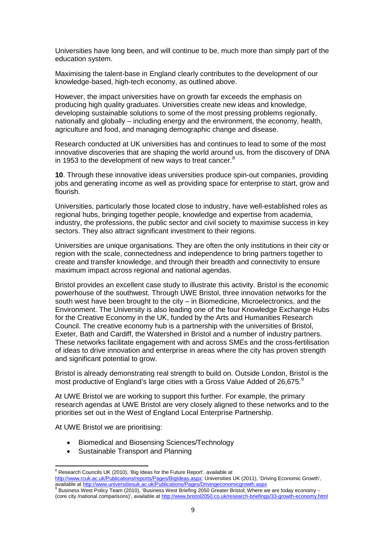Universities have long been, and will continue to be, much more than simply part of the education system.

Maximising the talent-base in England clearly contributes to the development of our knowledge-based, high-tech economy, as outlined above.

However, the impact universities have on growth far exceeds the emphasis on producing high quality graduates. Universities create new ideas and knowledge, developing sustainable solutions to some of the most pressing problems regionally, nationally and globally – including energy and the environment, the economy, health, agriculture and food, and managing demographic change and disease.

Research conducted at UK universities has and continues to lead to some of the most innovative discoveries that are shaping the world around us, from the discovery of DNA in 1953 to the development of new ways to treat cancer.<sup>[8](#page-8-0)</sup>

**10**. Through these innovative ideas universities produce spin-out companies, providing jobs and generating income as well as providing space for enterprise to start, grow and flourish.

Universities, particularly those located close to industry, have well-established roles as regional hubs, bringing together people, knowledge and expertise from academia, industry, the professions, the public sector and civil society to maximise success in key sectors. They also attract significant investment to their regions.

Universities are unique organisations. They are often the only institutions in their city or region with the scale, connectedness and independence to bring partners together to create and transfer knowledge, and through their breadth and connectivity to ensure maximum impact across regional and national agendas.

Bristol provides an excellent case study to illustrate this activity. Bristol is the economic powerhouse of the southwest. Through UWE Bristol, three innovation networks for the south west have been brought to the city – in Biomedicine, Microelectronics, and the Environment. The University is also leading one of the four Knowledge Exchange Hubs for the Creative Economy in the UK, funded by the Arts and Humanities Research Council. The creative economy hub is a partnership with the universities of Bristol, Exeter, Bath and Cardiff, the Watershed in Bristol and a number of industry partners. These networks facilitate engagement with and across SMEs and the cross-fertilisation of ideas to drive innovation and enterprise in areas where the city has proven strength and significant potential to grow.

Bristol is already demonstrating real strength to build on. Outside London, Bristol is the most productive of England's large cities with a Gross Value Added of 26,675.<sup>[9](#page-8-1)</sup>

At UWE Bristol we are working to support this further. For example, the primary research agendas at UWE Bristol are very closely aligned to these networks and to the priorities set out in the West of England Local Enterprise Partnership.

At UWE Bristol we are prioritising:

 $\overline{a}$ 

- Biomedical and Biosensing Sciences/Technology
- Sustainable Transport and Planning

<span id="page-8-1"></span>(core city /national comparisons)', available a[t http://www.bristol2050.co.uk/research-briefings/33-growth-economy.html](http://www.bristol2050.co.uk/research-briefings/33-growth-economy.html)

<span id="page-8-0"></span> $8$  Research Councils UK (2010), 'Big Ideas for the Future Report', available at [http://www.rcuk.ac.uk/Publications/reports/Pages/BigIdeas.aspx;](http://www.rcuk.ac.uk/Publications/reports/Pages/BigIdeas.aspx) Universities UK (2011), 'Driving Economic Growth', available a[t http://www.universitiesuk.ac.uk/Publications/Pages/Drivingeconomicgrowth.aspx](http://www.universitiesuk.ac.uk/Publications/Pages/Drivingeconomicgrowth.aspx)<br><sup>9</sup> Business West Policy Team (2010), 'Business West Briefing 2050 Greater Bristol; Where we are today economy –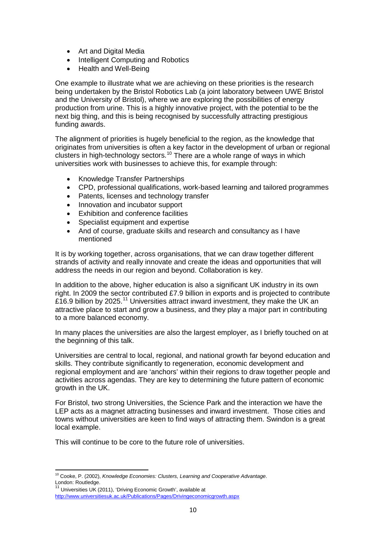- Art and Digital Media
- Intelligent Computing and Robotics
- Health and Well-Being

One example to illustrate what we are achieving on these priorities is the research being undertaken by the Bristol Robotics Lab (a joint laboratory between UWE Bristol and the University of Bristol), where we are exploring the possibilities of energy production from urine. This is a highly innovative project, with the potential to be the next big thing, and this is being recognised by successfully attracting prestigious funding awards.

The alignment of priorities is hugely beneficial to the region, as the knowledge that originates from universities is often a key factor in the development of urban or regional clusters in high-technology sectors.<sup>[10](#page-9-0)</sup> There are a whole range of ways in which universities work with businesses to achieve this, for example through:

- Knowledge Transfer Partnerships
- CPD, professional qualifications, work-based learning and tailored programmes
- Patents, licenses and technology transfer
- Innovation and incubator support
- Exhibition and conference facilities
- Specialist equipment and expertise
- And of course, graduate skills and research and consultancy as I have mentioned

It is by working together, across organisations, that we can draw together different strands of activity and really innovate and create the ideas and opportunities that will address the needs in our region and beyond. Collaboration is key.

In addition to the above, higher education is also a significant UK industry in its own right. In 2009 the sector contributed £7.9 billion in exports and is projected to contribute £16.9 billion by 2025.<sup>[11](#page-9-1)</sup> Universities attract inward investment, they make the UK an attractive place to start and grow a business, and they play a major part in contributing to a more balanced economy.

In many places the universities are also the largest employer, as I briefly touched on at the beginning of this talk.

Universities are central to local, regional, and national growth far beyond education and skills. They contribute significantly to regeneration, economic development and regional employment and are 'anchors' within their regions to draw together people and activities across agendas. They are key to determining the future pattern of economic growth in the UK.

For Bristol, two strong Universities, the Science Park and the interaction we have the LEP acts as a magnet attracting businesses and inward investment. Those cities and towns without universities are keen to find ways of attracting them. Swindon is a great local example.

This will continue to be core to the future role of universities.

<span id="page-9-0"></span>**<sup>.</sup>** <sup>10</sup> Cooke, P. (2002), *Knowledge Economies: Clusters, Learning and Cooperative Advantage*. London: Routledge.

Universities UK (2011), 'Driving Economic Growth', available at

<span id="page-9-1"></span><http://www.universitiesuk.ac.uk/Publications/Pages/Drivingeconomicgrowth.aspx>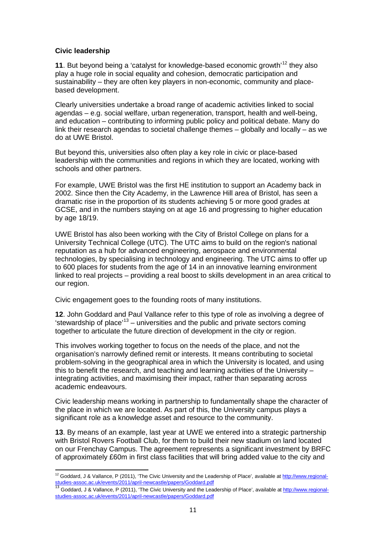## **Civic leadership**

**11**. But beyond being a 'catalyst for knowledge-based economic growth'[12](#page-10-0) they also play a huge role in social equality and cohesion, democratic participation and sustainability – they are often key players in non-economic, community and placebased development.

Clearly universities undertake a broad range of academic activities linked to social agendas – e.g. social welfare, urban regeneration, transport, health and well-being, and education – contributing to informing public policy and political debate. Many do link their research agendas to societal challenge themes – globally and locally – as we do at UWE Bristol.

But beyond this, universities also often play a key role in civic or place-based leadership with the communities and regions in which they are located, working with schools and other partners.

For example, UWE Bristol was the first HE institution to support an Academy back in 2002. Since then the City Academy, in the Lawrence Hill area of Bristol, has seen a dramatic rise in the proportion of its students achieving 5 or more good grades at GCSE, and in the numbers staying on at age 16 and progressing to higher education by age 18/19.

UWE Bristol has also been working with the City of Bristol College on plans for a University Technical College (UTC). The UTC aims to build on the region's national reputation as a hub for advanced engineering, aerospace and environmental technologies, by specialising in technology and engineering. The UTC aims to offer up to 600 places for students from the age of 14 in an innovative learning environment linked to real projects – providing a real boost to skills development in an area critical to our region.

Civic engagement goes to the founding roots of many institutions.

**12**. John Goddard and Paul Vallance refer to this type of role as involving a degree of 'stewardship of place'<sup>[13](#page-10-1)</sup> – universities and the public and private sectors coming together to articulate the future direction of development in the city or region.

This involves working together to focus on the needs of the place, and not the organisation's narrowly defined remit or interests. It means contributing to societal problem-solving in the geographical area in which the University is located, and using this to benefit the research, and teaching and learning activities of the University – integrating activities, and maximising their impact, rather than separating across academic endeavours.

Civic leadership means working in partnership to fundamentally shape the character of the place in which we are located. As part of this, the University campus plays a significant role as a knowledge asset and resource to the community.

**13**. By means of an example, last year at UWE we entered into a strategic partnership with Bristol Rovers Football Club, for them to build their new stadium on land located on our Frenchay Campus. The agreement represents a significant investment by BRFC of approximately £60m in first class facilities that will bring added value to the city and

**<sup>.</sup>** <sup>12</sup> Goddard, J & Vallance, P (2011), 'The Civic University and the Leadership of Place', available a[t http://www.regional-](http://www.regional-studies-assoc.ac.uk/events/2011/april-newcastle/papers/Goddard.pdf)

<span id="page-10-1"></span><span id="page-10-0"></span>[studies-assoc.ac.uk/events/2011/april-newcastle/papers/Goddard.pdf](http://www.regional-studies-assoc.ac.uk/events/2011/april-newcastle/papers/Goddard.pdf)<br><sup>13</sup> Goddard, J & Vallance, P (2011), 'The Civic University and the Leadership of Place', available a[t http://www.regional](http://www.regional-studies-assoc.ac.uk/events/2011/april-newcastle/papers/Goddard.pdf)[studies-assoc.ac.uk/events/2011/april-newcastle/papers/Goddard.pdf](http://www.regional-studies-assoc.ac.uk/events/2011/april-newcastle/papers/Goddard.pdf)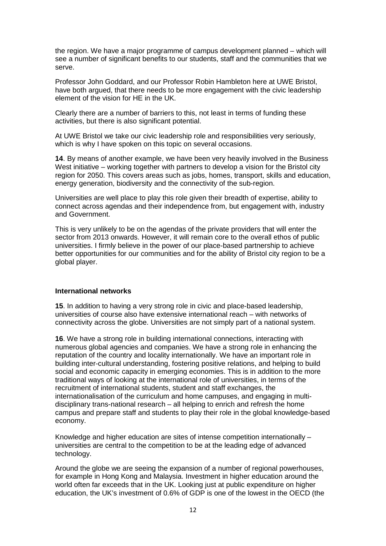the region. We have a major programme of campus development planned – which will see a number of significant benefits to our students, staff and the communities that we serve.

Professor John Goddard, and our Professor Robin Hambleton here at UWE Bristol, have both argued, that there needs to be more engagement with the civic leadership element of the vision for HE in the UK.

Clearly there are a number of barriers to this, not least in terms of funding these activities, but there is also significant potential.

At UWE Bristol we take our civic leadership role and responsibilities very seriously, which is why I have spoken on this topic on several occasions.

**14**. By means of another example, we have been very heavily involved in the Business West initiative – working together with partners to develop a vision for the Bristol city region for 2050. This covers areas such as jobs, homes, transport, skills and education, energy generation, biodiversity and the connectivity of the sub-region.

Universities are well place to play this role given their breadth of expertise, ability to connect across agendas and their independence from, but engagement with, industry and Government.

This is very unlikely to be on the agendas of the private providers that will enter the sector from 2013 onwards. However, it will remain core to the overall ethos of public universities. I firmly believe in the power of our place-based partnership to achieve better opportunities for our communities and for the ability of Bristol city region to be a global player.

#### **International networks**

**15**. In addition to having a very strong role in civic and place-based leadership, universities of course also have extensive international reach – with networks of connectivity across the globe. Universities are not simply part of a national system.

**16**. We have a strong role in building international connections, interacting with numerous global agencies and companies. We have a strong role in enhancing the reputation of the country and locality internationally. We have an important role in building inter-cultural understanding, fostering positive relations, and helping to build social and economic capacity in emerging economies. This is in addition to the more traditional ways of looking at the international role of universities, in terms of the recruitment of international students, student and staff exchanges, the internationalisation of the curriculum and home campuses, and engaging in multidisciplinary trans-national research – all helping to enrich and refresh the home campus and prepare staff and students to play their role in the global knowledge-based economy.

Knowledge and higher education are sites of intense competition internationally – universities are central to the competition to be at the leading edge of advanced technology.

Around the globe we are seeing the expansion of a number of regional powerhouses, for example in Hong Kong and Malaysia. Investment in higher education around the world often far exceeds that in the UK. Looking just at public expenditure on higher education, the UK's investment of 0.6% of GDP is one of the lowest in the OECD (the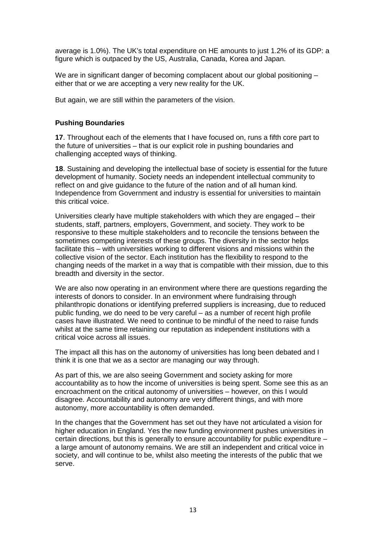average is 1.0%). The UK's total expenditure on HE amounts to just 1.2% of its GDP: a figure which is outpaced by the US, Australia, Canada, Korea and Japan.

We are in significant danger of becoming complacent about our global positioning – either that or we are accepting a very new reality for the UK.

But again, we are still within the parameters of the vision.

#### **Pushing Boundaries**

**17**. Throughout each of the elements that I have focused on, runs a fifth core part to the future of universities – that is our explicit role in pushing boundaries and challenging accepted ways of thinking.

**18**. Sustaining and developing the intellectual base of society is essential for the future development of humanity. Society needs an independent intellectual community to reflect on and give guidance to the future of the nation and of all human kind. Independence from Government and industry is essential for universities to maintain this critical voice.

Universities clearly have multiple stakeholders with which they are engaged – their students, staff, partners, employers, Government, and society. They work to be responsive to these multiple stakeholders and to reconcile the tensions between the sometimes competing interests of these groups. The diversity in the sector helps facilitate this – with universities working to different visions and missions within the collective vision of the sector. Each institution has the flexibility to respond to the changing needs of the market in a way that is compatible with their mission, due to this breadth and diversity in the sector.

We are also now operating in an environment where there are questions regarding the interests of donors to consider. In an environment where fundraising through philanthropic donations or identifying preferred suppliers is increasing, due to reduced public funding, we do need to be very careful – as a number of recent high profile cases have illustrated. We need to continue to be mindful of the need to raise funds whilst at the same time retaining our reputation as independent institutions with a critical voice across all issues.

The impact all this has on the autonomy of universities has long been debated and I think it is one that we as a sector are managing our way through.

As part of this, we are also seeing Government and society asking for more accountability as to how the income of universities is being spent. Some see this as an encroachment on the critical autonomy of universities – however, on this I would disagree. Accountability and autonomy are very different things, and with more autonomy, more accountability is often demanded.

In the changes that the Government has set out they have not articulated a vision for higher education in England. Yes the new funding environment pushes universities in certain directions, but this is generally to ensure accountability for public expenditure – a large amount of autonomy remains. We are still an independent and critical voice in society, and will continue to be, whilst also meeting the interests of the public that we serve.